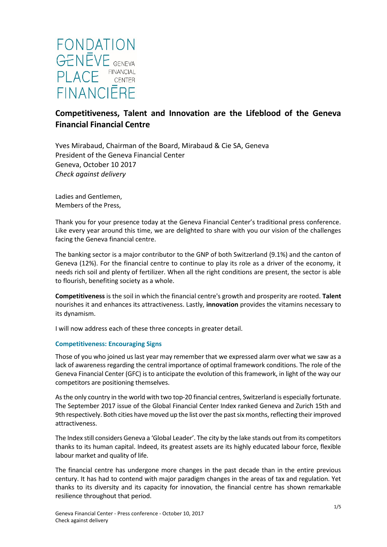

# **Competitiveness, Talent and Innovation are the Lifeblood of the Geneva Financial Financial Centre**

Yves Mirabaud, Chairman of the Board, Mirabaud & Cie SA, Geneva President of the Geneva Financial Center Geneva, October 10 2017 *Check against delivery*

Ladies and Gentlemen, Members of the Press,

Thank you for your presence today at the Geneva Financial Center's traditional press conference. Like every year around this time, we are delighted to share with you our vision of the challenges facing the Geneva financial centre.

The banking sector is a major contributor to the GNP of both Switzerland (9.1%) and the canton of Geneva (12%). For the financial centre to continue to play its role as a driver of the economy, it needs rich soil and plenty of fertilizer. When all the right conditions are present, the sector is able to flourish, benefiting society as a whole.

**Competitiveness** is the soil in which the financial centre's growth and prosperity are rooted. **Talent** nourishes it and enhances its attractiveness. Lastly, **innovation** provides the vitamins necessary to its dynamism.

I will now address each of these three concepts in greater detail.

### **Competitiveness: Encouraging Signs**

Those of you who joined us last year may remember that we expressed alarm over what we saw as a lack of awareness regarding the central importance of optimal framework conditions. The role of the Geneva Financial Center (GFC) is to anticipate the evolution of this framework, in light of the way our competitors are positioning themselves.

As the only country in the world with two top-20 financial centres, Switzerland is especially fortunate. The September 2017 issue of the Global Financial Center Index ranked Geneva and Zurich 15th and 9th respectively. Both cities have moved up the list over the past six months, reflecting their improved attractiveness.

The Index still considers Geneva a 'Global Leader'. The city by the lake stands out from its competitors thanks to its human capital. Indeed, its greatest assets are its highly educated labour force, flexible labour market and quality of life.

The financial centre has undergone more changes in the past decade than in the entire previous century. It has had to contend with major paradigm changes in the areas of tax and regulation. Yet thanks to its diversity and its capacity for innovation, the financial centre has shown remarkable resilience throughout that period.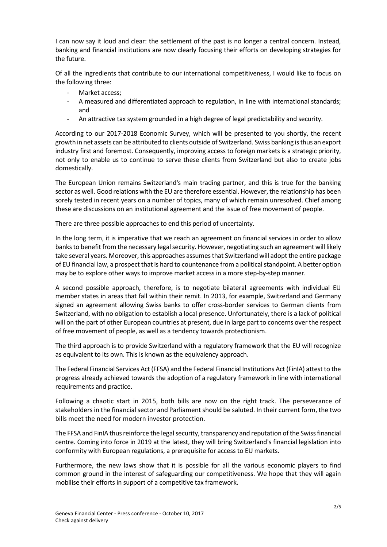I can now say it loud and clear: the settlement of the past is no longer a central concern. Instead, banking and financial institutions are now clearly focusing their efforts on developing strategies for the future.

Of all the ingredients that contribute to our international competitiveness, I would like to focus on the following three:

- Market access;
- A measured and differentiated approach to regulation, in line with international standards; and
- An attractive tax system grounded in a high degree of legal predictability and security.

According to our 2017-2018 Economic Survey, which will be presented to you shortly, the recent growth in net assets can be attributed to clients outside of Switzerland. Swiss banking is thus an export industry first and foremost. Consequently, improving access to foreign markets is a strategic priority, not only to enable us to continue to serve these clients from Switzerland but also to create jobs domestically.

The European Union remains Switzerland's main trading partner, and this is true for the banking sector as well. Good relations with the EU are therefore essential. However, the relationship has been sorely tested in recent years on a number of topics, many of which remain unresolved. Chief among these are discussions on an institutional agreement and the issue of free movement of people.

There are three possible approaches to end this period of uncertainty.

In the long term, it is imperative that we reach an agreement on financial services in order to allow banks to benefit from the necessary legal security. However, negotiating such an agreement will likely take several years. Moreover, this approaches assumes that Switzerland will adopt the entire package of EU financial law, a prospect that is hard to countenance from a political standpoint. A better option may be to explore other ways to improve market access in a more step-by-step manner.

A second possible approach, therefore, is to negotiate bilateral agreements with individual EU member states in areas that fall within their remit. In 2013, for example, Switzerland and Germany signed an agreement allowing Swiss banks to offer cross-border services to German clients from Switzerland, with no obligation to establish a local presence. Unfortunately, there is a lack of political will on the part of other European countries at present, due in large part to concerns over the respect of free movement of people, as well as a tendency towards protectionism.

The third approach is to provide Switzerland with a regulatory framework that the EU will recognize as equivalent to its own. This is known as the equivalency approach.

The Federal Financial Services Act (FFSA) and the Federal Financial Institutions Act (FinIA) attest to the progress already achieved towards the adoption of a regulatory framework in line with international requirements and practice.

Following a chaotic start in 2015, both bills are now on the right track. The perseverance of stakeholders in the financial sector and Parliament should be saluted. In their current form, the two bills meet the need for modern investor protection.

The FFSA and FinIA thus reinforce the legal security, transparency and reputation of the Swiss financial centre. Coming into force in 2019 at the latest, they will bring Switzerland's financial legislation into conformity with European regulations, a prerequisite for access to EU markets.

Furthermore, the new laws show that it is possible for all the various economic players to find common ground in the interest of safeguarding our competitiveness. We hope that they will again mobilise their efforts in support of a competitive tax framework.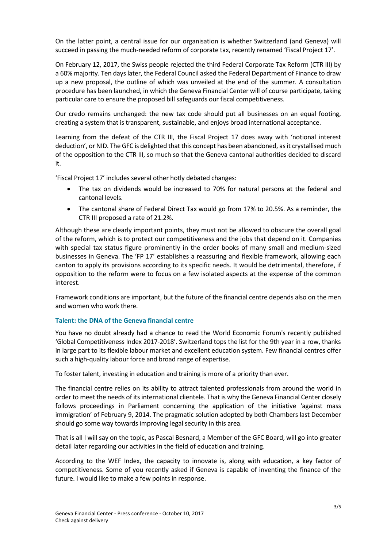On the latter point, a central issue for our organisation is whether Switzerland (and Geneva) will succeed in passing the much-needed reform of corporate tax, recently renamed 'Fiscal Project 17'.

On February 12, 2017, the Swiss people rejected the third Federal Corporate Tax Reform (CTR III) by a 60% majority. Ten days later, the Federal Council asked the Federal Department of Finance to draw up a new proposal, the outline of which was unveiled at the end of the summer. A consultation procedure has been launched, in which the Geneva Financial Center will of course participate, taking particular care to ensure the proposed bill safeguards our fiscal competitiveness.

Our credo remains unchanged: the new tax code should put all businesses on an equal footing, creating a system that is transparent, sustainable, and enjoys broad international acceptance.

Learning from the defeat of the CTR III, the Fiscal Project 17 does away with 'notional interest deduction', or NID. The GFC is delighted that this concept has been abandoned, as it crystallised much of the opposition to the CTR III, so much so that the Geneva cantonal authorities decided to discard it.

'Fiscal Project 17' includes several other hotly debated changes:

- The tax on dividends would be increased to 70% for natural persons at the federal and cantonal levels.
- The cantonal share of Federal Direct Tax would go from 17% to 20.5%. As a reminder, the CTR III proposed a rate of 21.2%.

Although these are clearly important points, they must not be allowed to obscure the overall goal of the reform, which is to protect our competitiveness and the jobs that depend on it. Companies with special tax status figure prominently in the order books of many small and medium-sized businesses in Geneva. The 'FP 17' establishes a reassuring and flexible framework, allowing each canton to apply its provisions according to its specific needs. It would be detrimental, therefore, if opposition to the reform were to focus on a few isolated aspects at the expense of the common interest.

Framework conditions are important, but the future of the financial centre depends also on the men and women who work there.

### **Talent: the DNA of the Geneva financial centre**

You have no doubt already had a chance to read the World Economic Forum's recently published 'Global Competitiveness Index 2017-2018'. Switzerland tops the list for the 9th year in a row, thanks in large part to its flexible labour market and excellent education system. Few financial centres offer such a high-quality labour force and broad range of expertise.

To foster talent, investing in education and training is more of a priority than ever.

The financial centre relies on its ability to attract talented professionals from around the world in order to meet the needs of its international clientele. That is why the Geneva Financial Center closely follows proceedings in Parliament concerning the application of the initiative 'against mass immigration' of February 9, 2014. The pragmatic solution adopted by both Chambers last December should go some way towards improving legal security in this area.

That is all I will say on the topic, as Pascal Besnard, a Member of the GFC Board, will go into greater detail later regarding our activities in the field of education and training.

According to the WEF Index, the capacity to innovate is, along with education, a key factor of competitiveness. Some of you recently asked if Geneva is capable of inventing the finance of the future. I would like to make a few points in response.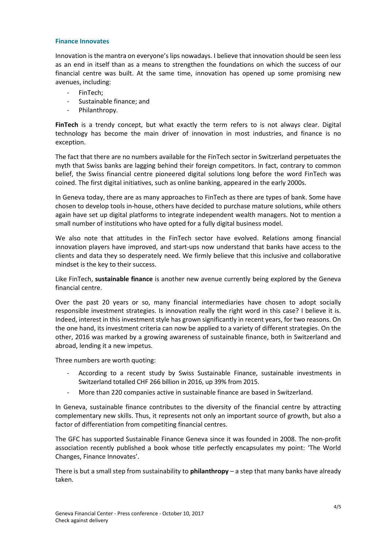#### **Finance Innovates**

Innovation is the mantra on everyone's lips nowadays. I believe that innovation should be seen less as an end in itself than as a means to strengthen the foundations on which the success of our financial centre was built. At the same time, innovation has opened up some promising new avenues, including:

- FinTech;
- Sustainable finance; and
- Philanthropy.

**FinTech** is a trendy concept, but what exactly the term refers to is not always clear. Digital technology has become the main driver of innovation in most industries, and finance is no exception.

The fact that there are no numbers available for the FinTech sector in Switzerland perpetuates the myth that Swiss banks are lagging behind their foreign competitors. In fact, contrary to common belief, the Swiss financial centre pioneered digital solutions long before the word FinTech was coined. The first digital initiatives, such as online banking, appeared in the early 2000s.

In Geneva today, there are as many approaches to FinTech as there are types of bank. Some have chosen to develop tools in-house, others have decided to purchase mature solutions, while others again have set up digital platforms to integrate independent wealth managers. Not to mention a small number of institutions who have opted for a fully digital business model.

We also note that attitudes in the FinTech sector have evolved. Relations among financial innovation players have improved, and start-ups now understand that banks have access to the clients and data they so desperately need. We firmly believe that this inclusive and collaborative mindset is the key to their success.

Like FinTech, **sustainable finance** is another new avenue currently being explored by the Geneva financial centre.

Over the past 20 years or so, many financial intermediaries have chosen to adopt socially responsible investment strategies. Is innovation really the right word in this case? I believe it is. Indeed, interest in this investment style has grown significantly in recent years, for two reasons. On the one hand, its investment criteria can now be applied to a variety of different strategies. On the other, 2016 was marked by a growing awareness of sustainable finance, both in Switzerland and abroad, lending it a new impetus.

Three numbers are worth quoting:

- According to a recent study by Swiss Sustainable Finance, sustainable investments in Switzerland totalled CHF 266 billion in 2016, up 39% from 2015.
- More than 220 companies active in sustainable finance are based in Switzerland.

In Geneva, sustainable finance contributes to the diversity of the financial centre by attracting complementary new skills. Thus, it represents not only an important source of growth, but also a factor of differentiation from competiting financial centres.

The GFC has supported Sustainable Finance Geneva since it was founded in 2008. The non-profit association recently published a book whose title perfectly encapsulates my point: 'The World Changes, Finance Innovates'.

There is but a small step from sustainability to **philanthropy** – a step that many banks have already taken.